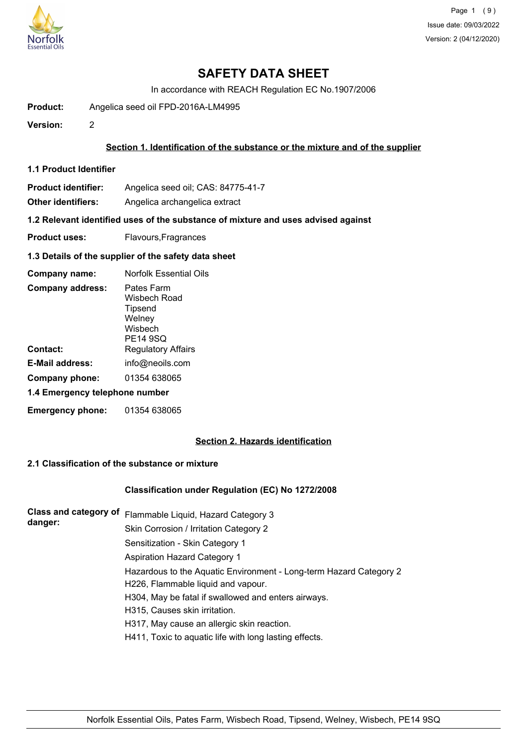

In accordance with REACH Regulation EC No.1907/2006

**Product:** Angelica seed oil FPD-2016A-LM4995

**Version:** 2

## **Section 1. Identification of the substance or the mixture and of the supplier**

- **1.1 Product Identifier**
- **Product identifier:** Angelica seed oil; CAS: 84775-41-7

**Other identifiers:** Angelica archangelica extract

**1.2 Relevant identified uses of the substance of mixture and uses advised against**

- **Product uses:** Flavours, Fragrances
- **1.3 Details of the supplier of the safety data sheet**

| Company name:                  | <b>Norfolk Essential Oils</b>                                          |  |
|--------------------------------|------------------------------------------------------------------------|--|
| <b>Company address:</b>        | Pates Farm<br>Wisbech Road<br>Tipsend<br>Welney<br>Wisbech<br>PE14 9SQ |  |
| Contact:                       | <b>Regulatory Affairs</b>                                              |  |
| E-Mail address:                | info@neoils.com                                                        |  |
| Company phone:                 | 01354 638065                                                           |  |
| 1.4 Emergency telephone number |                                                                        |  |
| <b>Emergency phone:</b>        | 01354 638065                                                           |  |

# **Section 2. Hazards identification**

# **2.1 Classification of the substance or mixture**

## **Classification under Regulation (EC) No 1272/2008**

| <b>Class and category of</b><br>danger: | Flammable Liquid, Hazard Category 3                                |
|-----------------------------------------|--------------------------------------------------------------------|
|                                         | Skin Corrosion / Irritation Category 2                             |
|                                         | Sensitization - Skin Category 1                                    |
|                                         | Aspiration Hazard Category 1                                       |
|                                         | Hazardous to the Aquatic Environment - Long-term Hazard Category 2 |
|                                         | H226, Flammable liquid and vapour.                                 |
|                                         | H304, May be fatal if swallowed and enters airways.                |
|                                         | H315, Causes skin irritation.                                      |
|                                         | H317, May cause an allergic skin reaction.                         |
|                                         | H411, Toxic to aquatic life with long lasting effects.             |
|                                         |                                                                    |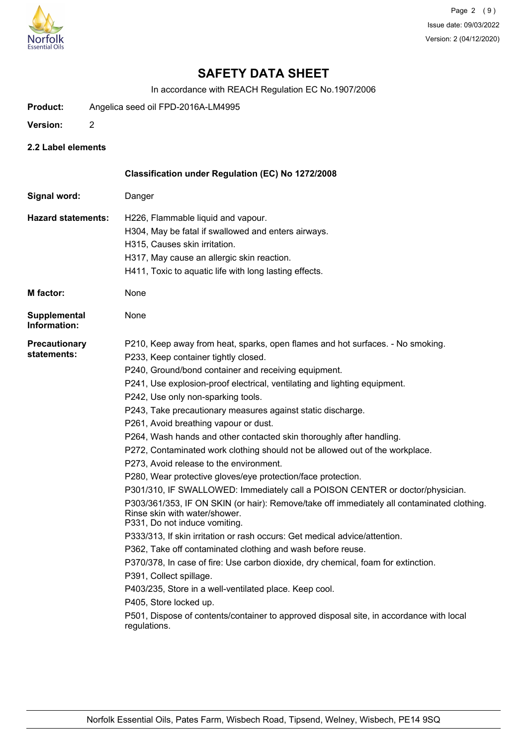

In accordance with REACH Regulation EC No.1907/2006

- **Product:** Angelica seed oil FPD-2016A-LM4995
- **Version:** 2
- **2.2 Label elements**

|                                     | Classification under Regulation (EC) No 1272/2008                                                                                                                                                                                                                                                                                                                                                                                                                                                                                                                                                                                                                                                                                                                                                                                                                                                                                                                                                                                                                                                                                                                                                                                                                                                                                                                                         |
|-------------------------------------|-------------------------------------------------------------------------------------------------------------------------------------------------------------------------------------------------------------------------------------------------------------------------------------------------------------------------------------------------------------------------------------------------------------------------------------------------------------------------------------------------------------------------------------------------------------------------------------------------------------------------------------------------------------------------------------------------------------------------------------------------------------------------------------------------------------------------------------------------------------------------------------------------------------------------------------------------------------------------------------------------------------------------------------------------------------------------------------------------------------------------------------------------------------------------------------------------------------------------------------------------------------------------------------------------------------------------------------------------------------------------------------------|
| Signal word:                        | Danger                                                                                                                                                                                                                                                                                                                                                                                                                                                                                                                                                                                                                                                                                                                                                                                                                                                                                                                                                                                                                                                                                                                                                                                                                                                                                                                                                                                    |
| <b>Hazard statements:</b>           | H226, Flammable liquid and vapour.<br>H304, May be fatal if swallowed and enters airways.<br>H315, Causes skin irritation.<br>H317, May cause an allergic skin reaction.<br>H411, Toxic to aquatic life with long lasting effects.                                                                                                                                                                                                                                                                                                                                                                                                                                                                                                                                                                                                                                                                                                                                                                                                                                                                                                                                                                                                                                                                                                                                                        |
| <b>M</b> factor:                    | None                                                                                                                                                                                                                                                                                                                                                                                                                                                                                                                                                                                                                                                                                                                                                                                                                                                                                                                                                                                                                                                                                                                                                                                                                                                                                                                                                                                      |
| <b>Supplemental</b><br>Information: | None                                                                                                                                                                                                                                                                                                                                                                                                                                                                                                                                                                                                                                                                                                                                                                                                                                                                                                                                                                                                                                                                                                                                                                                                                                                                                                                                                                                      |
| Precautionary<br>statements:        | P210, Keep away from heat, sparks, open flames and hot surfaces. - No smoking.<br>P233, Keep container tightly closed.<br>P240, Ground/bond container and receiving equipment.<br>P241, Use explosion-proof electrical, ventilating and lighting equipment.<br>P242, Use only non-sparking tools.<br>P243, Take precautionary measures against static discharge.<br>P261, Avoid breathing vapour or dust.<br>P264, Wash hands and other contacted skin thoroughly after handling.<br>P272, Contaminated work clothing should not be allowed out of the workplace.<br>P273, Avoid release to the environment.<br>P280, Wear protective gloves/eye protection/face protection.<br>P301/310, IF SWALLOWED: Immediately call a POISON CENTER or doctor/physician.<br>P303/361/353, IF ON SKIN (or hair): Remove/take off immediately all contaminated clothing.<br>Rinse skin with water/shower.<br>P331, Do not induce vomiting.<br>P333/313, If skin irritation or rash occurs: Get medical advice/attention.<br>P362, Take off contaminated clothing and wash before reuse.<br>P370/378, In case of fire: Use carbon dioxide, dry chemical, foam for extinction.<br>P391, Collect spillage.<br>P403/235, Store in a well-ventilated place. Keep cool.<br>P405, Store locked up.<br>P501, Dispose of contents/container to approved disposal site, in accordance with local<br>regulations. |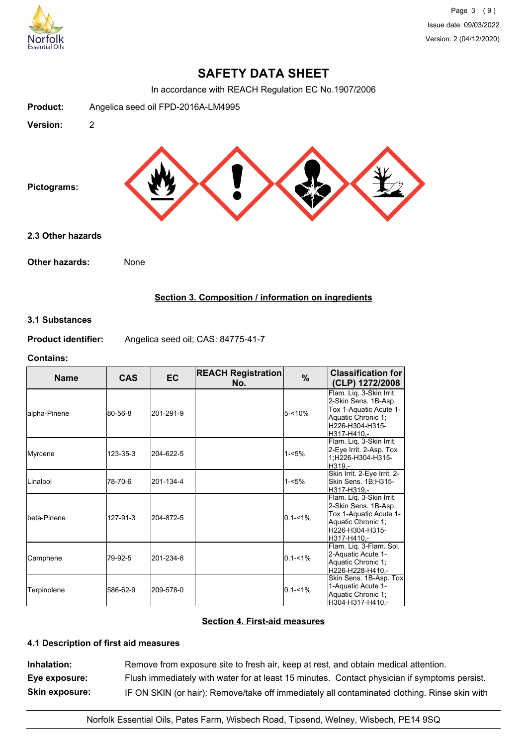

In accordance with REACH Regulation EC No.1907/2006



## **Section 3. Composition / information on ingredients**

## **3.1 Substances**

**Product identifier:** Angelica seed oil; CAS: 84775-41-7

### **Contains:**

| <b>Name</b>   | <b>CAS</b> | <b>EC</b> | <b>REACH Registration</b><br>No. | $\frac{9}{6}$ | <b>Classification for</b><br>(CLP) 1272/2008                                                                                        |
|---------------|------------|-----------|----------------------------------|---------------|-------------------------------------------------------------------------------------------------------------------------------------|
| lalpha-Pinene | 80-56-8    | 201-291-9 |                                  | 5-<10%        | Flam. Liq. 3-Skin Irrit.<br>2-Skin Sens. 1B-Asp.<br>Tox 1-Aquatic Acute 1-<br>Aquatic Chronic 1;<br>H226-H304-H315-<br>H317-H410.-  |
| Myrcene       | 123-35-3   | 204-622-5 |                                  | $1 - 5%$      | Flam. Liq. 3-Skin Irrit.<br>2-Eye Irrit. 2-Asp. Tox<br>1;H226-H304-H315-<br>H319.-                                                  |
| ILinalool     | 78-70-6    | 201-134-4 |                                  | $1 - 5%$      | Skin Irrit. 2-Eye Irrit. 2-<br>Skin Sens. 1B;H315-<br>H317-H319.-                                                                   |
| Ibeta-Pinene  | 127-91-3   | 204-872-5 |                                  | $0.1 - 1\%$   | Flam. Liq. 3-Skin Irrit.<br>2-Skin Sens. 1B-Asp.<br>Tox 1-Aquatic Acute 1-<br>Aquatic Chronic 1;<br>H226-H304-H315-<br>lH317-H410.- |
| Camphene      | 79-92-5    | 201-234-8 |                                  | $0.1 - 1\%$   | Flam. Liq. 3-Flam. Sol.<br>2-Aquatic Acute 1-<br>Aquatic Chronic 1:<br>H226-H228-H410.-                                             |
| Terpinolene   | 586-62-9   | 209-578-0 |                                  | $0.1 - 1\%$   | Skin Sens. 1B-Asp. Tox<br>1-Aquatic Acute 1-<br>Aquatic Chronic 1;<br>H304-H317-H410,-                                              |

## **Section 4. First-aid measures**

# **4.1 Description of first aid measures**

**Inhalation:** Remove from exposure site to fresh air, keep at rest, and obtain medical attention. **Eye exposure:** Flush immediately with water for at least 15 minutes. Contact physician if symptoms persist. **Skin exposure:** IF ON SKIN (or hair): Remove/take off immediately all contaminated clothing. Rinse skin with

Norfolk Essential Oils, Pates Farm, Wisbech Road, Tipsend, Welney, Wisbech, PE14 9SQ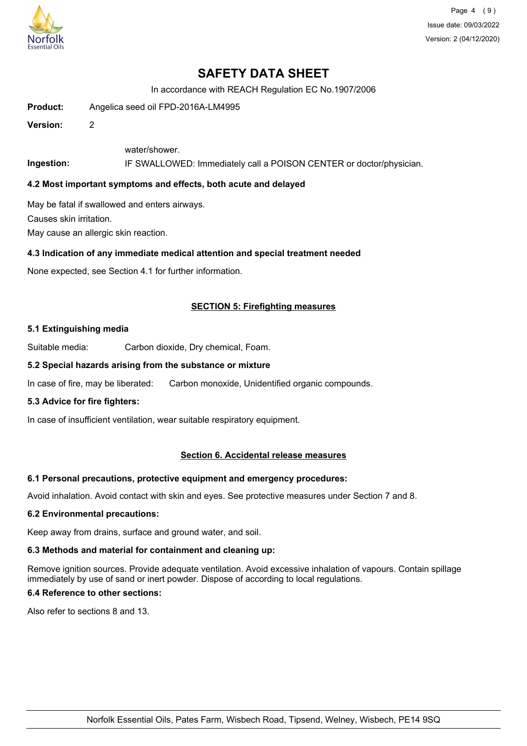

Page 4 (9) Issue date: 09/03/2022 Version: 2 (04/12/2020)

# **SAFETY DATA SHEET**

In accordance with REACH Regulation EC No.1907/2006

**Product:** Angelica seed oil FPD-2016A-LM4995

**Version:** 2

water/shower.

**Ingestion:** IF SWALLOWED: Immediately call a POISON CENTER or doctor/physician.

## **4.2 Most important symptoms and effects, both acute and delayed**

May be fatal if swallowed and enters airways.

Causes skin irritation.

May cause an allergic skin reaction.

## **4.3 Indication of any immediate medical attention and special treatment needed**

None expected, see Section 4.1 for further information.

## **SECTION 5: Firefighting measures**

#### **5.1 Extinguishing media**

Suitable media: Carbon dioxide, Dry chemical, Foam.

## **5.2 Special hazards arising from the substance or mixture**

In case of fire, may be liberated: Carbon monoxide, Unidentified organic compounds.

## **5.3 Advice for fire fighters:**

In case of insufficient ventilation, wear suitable respiratory equipment.

## **Section 6. Accidental release measures**

#### **6.1 Personal precautions, protective equipment and emergency procedures:**

Avoid inhalation. Avoid contact with skin and eyes. See protective measures under Section 7 and 8.

#### **6.2 Environmental precautions:**

Keep away from drains, surface and ground water, and soil.

## **6.3 Methods and material for containment and cleaning up:**

Remove ignition sources. Provide adequate ventilation. Avoid excessive inhalation of vapours. Contain spillage immediately by use of sand or inert powder. Dispose of according to local regulations.

## **6.4 Reference to other sections:**

Also refer to sections 8 and 13.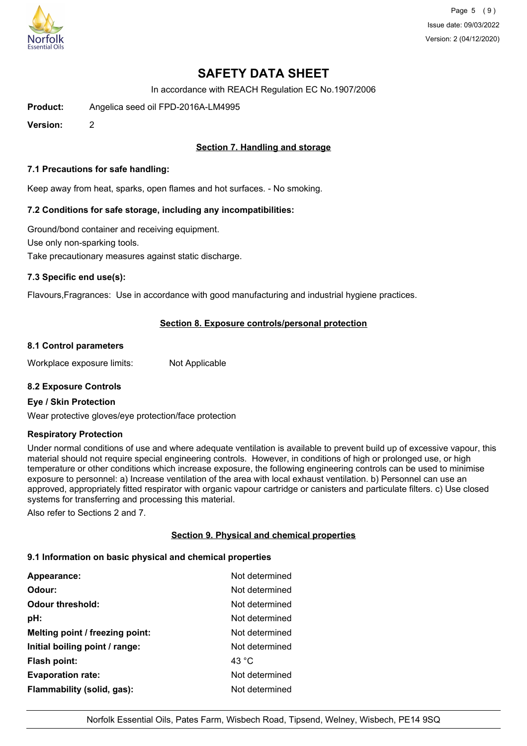

Page 5 (9) Issue date: 09/03/2022 Version: 2 (04/12/2020)

# **SAFETY DATA SHEET**

In accordance with REACH Regulation EC No.1907/2006

**Product:** Angelica seed oil FPD-2016A-LM4995

**Version:** 2

# **Section 7. Handling and storage**

### **7.1 Precautions for safe handling:**

Keep away from heat, sparks, open flames and hot surfaces. - No smoking.

## **7.2 Conditions for safe storage, including any incompatibilities:**

Ground/bond container and receiving equipment. Use only non-sparking tools. Take precautionary measures against static discharge.

## **7.3 Specific end use(s):**

Flavours,Fragrances: Use in accordance with good manufacturing and industrial hygiene practices.

## **Section 8. Exposure controls/personal protection**

#### **8.1 Control parameters**

Workplace exposure limits: Not Applicable

## **8.2 Exposure Controls**

### **Eye / Skin Protection**

Wear protective gloves/eye protection/face protection

#### **Respiratory Protection**

Under normal conditions of use and where adequate ventilation is available to prevent build up of excessive vapour, this material should not require special engineering controls. However, in conditions of high or prolonged use, or high temperature or other conditions which increase exposure, the following engineering controls can be used to minimise exposure to personnel: a) Increase ventilation of the area with local exhaust ventilation. b) Personnel can use an approved, appropriately fitted respirator with organic vapour cartridge or canisters and particulate filters. c) Use closed systems for transferring and processing this material.

Also refer to Sections 2 and 7.

## **Section 9. Physical and chemical properties**

### **9.1 Information on basic physical and chemical properties**

| Appearance:                     | Not determined |
|---------------------------------|----------------|
| Odour:                          | Not determined |
| <b>Odour threshold:</b>         | Not determined |
| pH:                             | Not determined |
| Melting point / freezing point: | Not determined |
| Initial boiling point / range:  | Not determined |
| <b>Flash point:</b>             | 43 °C          |
| <b>Evaporation rate:</b>        | Not determined |
| Flammability (solid, gas):      | Not determined |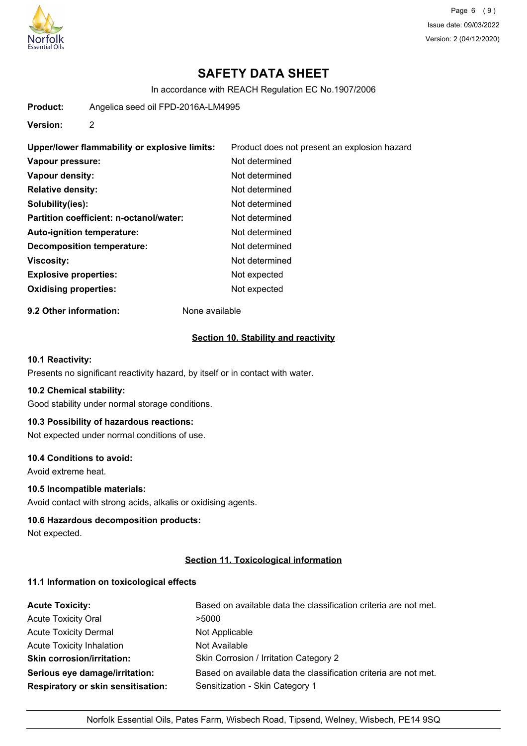

Page 6 (9) Issue date: 09/03/2022 Version: 2 (04/12/2020)

# **SAFETY DATA SHEET**

In accordance with REACH Regulation EC No.1907/2006

**Product:** Angelica seed oil FPD-2016A-LM4995

**Version:** 2

| Upper/lower flammability or explosive limits: | Product does not present an explosion hazard |
|-----------------------------------------------|----------------------------------------------|
| Vapour pressure:                              | Not determined                               |
| Vapour density:                               | Not determined                               |
| <b>Relative density:</b>                      | Not determined                               |
| Solubility(ies):                              | Not determined                               |
| Partition coefficient: n-octanol/water:       | Not determined                               |
| Auto-ignition temperature:                    | Not determined                               |
| Decomposition temperature:                    | Not determined                               |
| <b>Viscosity:</b>                             | Not determined                               |
| <b>Explosive properties:</b>                  | Not expected                                 |
| <b>Oxidising properties:</b>                  | Not expected                                 |

**9.2 Other information:** None available

### **Section 10. Stability and reactivity**

## **10.1 Reactivity:**

Presents no significant reactivity hazard, by itself or in contact with water.

#### **10.2 Chemical stability:**

Good stability under normal storage conditions.

# **10.3 Possibility of hazardous reactions:**

Not expected under normal conditions of use.

## **10.4 Conditions to avoid:**

Avoid extreme heat.

# **10.5 Incompatible materials:**

Avoid contact with strong acids, alkalis or oxidising agents.

### **10.6 Hazardous decomposition products:**

Not expected.

## **Section 11. Toxicological information**

#### **11.1 Information on toxicological effects**

| <b>Acute Toxicity:</b>                    | Based on available data the classification criteria are not met. |
|-------------------------------------------|------------------------------------------------------------------|
| <b>Acute Toxicity Oral</b>                | >5000                                                            |
| <b>Acute Toxicity Dermal</b>              | Not Applicable                                                   |
| <b>Acute Toxicity Inhalation</b>          | Not Available                                                    |
| <b>Skin corrosion/irritation:</b>         | Skin Corrosion / Irritation Category 2                           |
| Serious eye damage/irritation:            | Based on available data the classification criteria are not met. |
| <b>Respiratory or skin sensitisation:</b> | Sensitization - Skin Category 1                                  |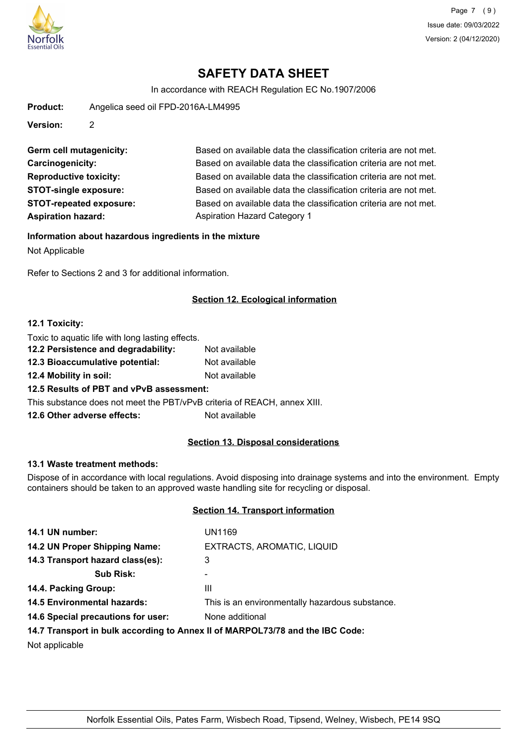

In accordance with REACH Regulation EC No.1907/2006

**Product:** Angelica seed oil FPD-2016A-LM4995

**Version:** 2

| Germ cell mutagenicity:        | Based on available data the c       |
|--------------------------------|-------------------------------------|
| <b>Carcinogenicity:</b>        | Based on available data the c       |
| <b>Reproductive toxicity:</b>  | Based on available data the c       |
| <b>STOT-single exposure:</b>   | Based on available data the c       |
| <b>STOT-repeated exposure:</b> | Based on available data the c       |
| <b>Aspiration hazard:</b>      | <b>Aspiration Hazard Category 1</b> |

Based on available data the classification criteria are not met. Based on available data the classification criteria are not met. Based on available data the classification criteria are not met. Based on available data the classification criteria are not met. Based on available data the classification criteria are not met.

**Information about hazardous ingredients in the mixture**

Not Applicable

Refer to Sections 2 and 3 for additional information.

# **Section 12. Ecological information**

## **12.1 Toxicity:**

| Toxic to aquatic life with long lasting effects.                         |               |
|--------------------------------------------------------------------------|---------------|
| 12.2 Persistence and degradability:                                      | Not available |
| 12.3 Bioaccumulative potential:                                          | Not available |
| 12.4 Mobility in soil:                                                   | Not available |
| 12.5 Results of PBT and vPvB assessment:                                 |               |
| This substance does not meet the PBT/vPvB criteria of REACH, annex XIII. |               |
| 12.6 Other adverse effects:                                              | Not available |

# **Section 13. Disposal considerations**

## **13.1 Waste treatment methods:**

Dispose of in accordance with local regulations. Avoid disposing into drainage systems and into the environment. Empty containers should be taken to an approved waste handling site for recycling or disposal.

# **Section 14. Transport information**

| 14.1 UN number:                    | UN1169                                                                                                                                                                                                                         |
|------------------------------------|--------------------------------------------------------------------------------------------------------------------------------------------------------------------------------------------------------------------------------|
| 14.2 UN Proper Shipping Name:      | EXTRACTS, AROMATIC, LIQUID                                                                                                                                                                                                     |
| 14.3 Transport hazard class(es):   | 3                                                                                                                                                                                                                              |
| <b>Sub Risk:</b>                   | ۰                                                                                                                                                                                                                              |
| 14.4. Packing Group:               | Ш                                                                                                                                                                                                                              |
| <b>14.5 Environmental hazards:</b> | This is an environmentally hazardous substance.                                                                                                                                                                                |
| 14.6 Special precautions for user: | None additional                                                                                                                                                                                                                |
|                                    | 44 W. The concentration in the constitution of a concentration of MADDO and Maddon and Maddon Constitution of the Constitution of the Constitution of the Constitution of the Constitution of the Constitution of the Constitu |

## **14.7 Transport in bulk according to Annex II of MARPOL73/78 and the IBC Code:**

Not applicable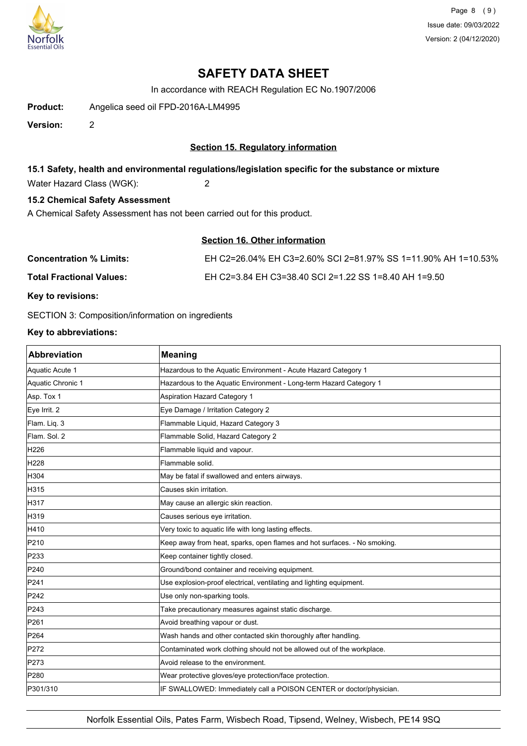

Page 8 (9) Issue date: 09/03/2022 Version: 2 (04/12/2020)

# **SAFETY DATA SHEET**

In accordance with REACH Regulation EC No.1907/2006

**Product:** Angelica seed oil FPD-2016A-LM4995

**Version:** 2

## **Section 15. Regulatory information**

## **15.1 Safety, health and environmental regulations/legislation specific for the substance or mixture**

Water Hazard Class (WGK): 2

# **15.2 Chemical Safety Assessment**

A Chemical Safety Assessment has not been carried out for this product.

| <b>Section 16. Other information</b>                          |
|---------------------------------------------------------------|
| EH C2=26.04% EH C3=2.60% SCI 2=81.97% SS 1=11.90% AH 1=10.53% |
| EH C2=3.84 EH C3=38.40 SCI 2=1.22 SS 1=8.40 AH 1=9.50         |
|                                                               |

**Key to revisions:**

SECTION 3: Composition/information on ingredients

## **Key to abbreviations:**

| <b>Abbreviation</b> | <b>Meaning</b>                                                           |
|---------------------|--------------------------------------------------------------------------|
| Aquatic Acute 1     | Hazardous to the Aquatic Environment - Acute Hazard Category 1           |
| Aquatic Chronic 1   | Hazardous to the Aquatic Environment - Long-term Hazard Category 1       |
| Asp. Tox 1          | <b>Aspiration Hazard Category 1</b>                                      |
| Eye Irrit. 2        | Eye Damage / Irritation Category 2                                       |
| Flam. Liq. 3        | Flammable Liquid, Hazard Category 3                                      |
| Flam. Sol. 2        | Flammable Solid, Hazard Category 2                                       |
| H226                | Flammable liquid and vapour.                                             |
| H <sub>228</sub>    | Flammable solid.                                                         |
| H304                | May be fatal if swallowed and enters airways.                            |
| H315                | Causes skin irritation.                                                  |
| H317                | May cause an allergic skin reaction.                                     |
| H319                | Causes serious eye irritation.                                           |
| H410                | Very toxic to aquatic life with long lasting effects.                    |
| P210                | Keep away from heat, sparks, open flames and hot surfaces. - No smoking. |
| P233                | Keep container tightly closed.                                           |
| P240                | Ground/bond container and receiving equipment.                           |
| P241                | Use explosion-proof electrical, ventilating and lighting equipment.      |
| P242                | Use only non-sparking tools.                                             |
| P243                | Take precautionary measures against static discharge.                    |
| P261                | Avoid breathing vapour or dust.                                          |
| P <sub>264</sub>    | Wash hands and other contacted skin thoroughly after handling.           |
| P272                | Contaminated work clothing should not be allowed out of the workplace.   |
| P273                | Avoid release to the environment.                                        |
| P280                | Wear protective gloves/eye protection/face protection.                   |
| P301/310            | IF SWALLOWED: Immediately call a POISON CENTER or doctor/physician.      |